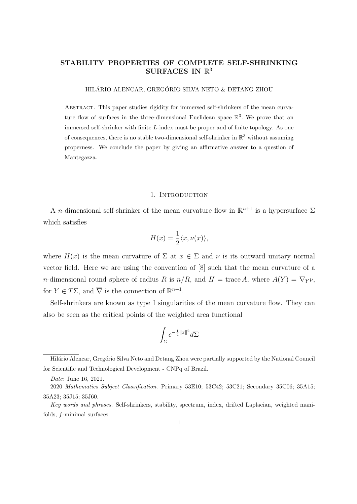# STABILITY PROPERTIES OF COMPLETE SELF-SHRINKING SURFACES IN  $\mathbb{R}^3$

HILÁRIO ALENCAR, GREGÓRIO SILVA NETO & DETANG ZHOU

Abstract. This paper studies rigidity for immersed self-shrinkers of the mean curvature flow of surfaces in the three-dimensional Euclidean space  $\mathbb{R}^3$ . We prove that an immersed self-shrinker with finite L-index must be proper and of finite topology. As one of consequences, there is no stable two-dimensional self-shrinker in  $\mathbb{R}^3$  without assuming properness. We conclude the paper by giving an affirmative answer to a question of Mantegazza.

#### 1. INTRODUCTION

A *n*-dimensional self-shrinker of the mean curvature flow in  $\mathbb{R}^{n+1}$  is a hypersurface  $\Sigma$ which satisfies

$$
H(x) = \frac{1}{2} \langle x, \nu(x) \rangle,
$$

where  $H(x)$  is the mean curvature of  $\Sigma$  at  $x \in \Sigma$  and  $\nu$  is its outward unitary normal vector field. Here we are using the convention of [8] such that the mean curvature of a n-dimensional round sphere of radius R is  $n/R$ , and  $H = \text{trace } A$ , where  $A(Y) = \overline{\nabla}_Y \nu$ , for  $Y \in T\Sigma$ , and  $\overline{\nabla}$  is the connection of  $\mathbb{R}^{n+1}$ .

Self-shrinkers are known as type I singularities of the mean curvature flow. They can also be seen as the critical points of the weighted area functional

$$
\int_{\Sigma}e^{-\frac{1}{4}\|x\|^2}d\Sigma
$$

Hilário Alencar, Gregório Silva Neto and Detang Zhou were partially supported by the National Council for Scientific and Technological Development - CNPq of Brazil.

Date: June 16, 2021.

<sup>2020</sup> Mathematics Subject Classification. Primary 53E10; 53C42; 53C21; Secondary 35C06; 35A15; 35A23; 35J15; 35J60.

Key words and phrases. Self-shrinkers, stability, spectrum, index, drifted Laplacian, weighted manifolds, f-minimal surfaces.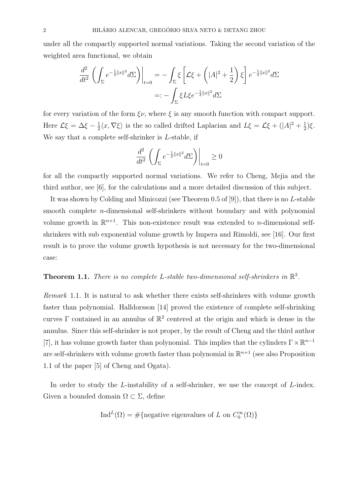under all the compactly supported normal variations. Taking the second variation of the weighted area functional, we obtain

$$
\frac{d^2}{dt^2} \left( \int_{\Sigma} e^{-\frac{1}{4}||x||^2} d\Sigma \right) \Big|_{t=0} = -\int_{\Sigma} \xi \left[ \mathcal{L}\xi + \left( |A|^2 + \frac{1}{2} \right) \xi \right] e^{-\frac{1}{4}||x||^2} d\Sigma
$$

$$
=: -\int_{\Sigma} \xi L\xi e^{-\frac{1}{4}||x||^2} d\Sigma
$$

for every variation of the form  $\xi \nu$ , where  $\xi$  is any smooth function with compact support. Here  $\mathcal{L}\xi = \Delta \xi - \frac{1}{2}$  $\frac{1}{2}\langle x,\nabla \xi\rangle$  is the so called drifted Laplacian and  $L\xi = \mathcal{L}\xi + (|A|^2 + \frac{1}{2})$  $\frac{1}{2}$ ) $\xi$ . We say that a complete self-shrinker is L-stable, if

$$
\frac{d^2}{dt^2} \left( \int_{\Sigma} e^{-\frac{1}{4}||x||^2} d\Sigma \right) \Big|_{t=0} \ge 0
$$

for all the compactly supported normal variations. We refer to Cheng, Mejia and the third author, see [6], for the calculations and a more detailed discussion of this subject.

It was shown by Colding and Minicozzi (see Theorem 0.5 of [9]), that there is no L-stable smooth complete *n*-dimensional self-shrinkers without boundary and with polynomial volume growth in  $\mathbb{R}^{n+1}$ . This non-existence result was extended to *n*-dimensional selfshrinkers with sub exponential volume growth by Impera and Rimoldi, see [16]. Our first result is to prove the volume growth hypothesis is not necessary for the two-dimensional case:

# **Theorem 1.1.** There is no complete L-stable two-dimensional self-shrinkers in  $\mathbb{R}^3$ .

Remark 1.1. It is natural to ask whether there exists self-shrinkers with volume growth faster than polynomial. Halldorsson [14] proved the existence of complete self-shrinking curves  $\Gamma$  contained in an annulus of  $\mathbb{R}^2$  centered at the origin and which is dense in the annulus. Since this self-shrinker is not proper, by the result of Cheng and the third author [7], it has volume growth faster than polynomial. This implies that the cylinders  $\Gamma \times \mathbb{R}^{n-1}$ are self-shrinkers with volume growth faster than polynomial in  $\mathbb{R}^{n+1}$  (see also Proposition 1.1 of the paper [5] of Cheng and Ogata).

In order to study the L-instability of a self-shrinker, we use the concept of L-index. Given a bounded domain  $\Omega \subset \Sigma$ , define

$$
\text{Ind}^{L}(\Omega) = \# \{ \text{negative eigenvalues of } L \text{ on } C_0^{\infty}(\Omega) \}
$$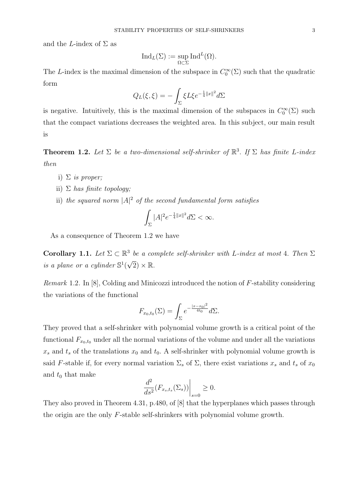and the L-index of  $\Sigma$  as

$$
\mathrm{Ind}_L(\Sigma):=\sup_{\Omega\subset\Sigma}\mathrm{Ind}^L(\Omega).
$$

The L-index is the maximal dimension of the subspace in  $C_0^{\infty}(\Sigma)$  such that the quadratic form

$$
Q_L(\xi, \xi) = -\int_{\Sigma} \xi L \xi e^{-\frac{1}{4}||x||^2} d\Sigma
$$

is negative. Intuitively, this is the maximal dimension of the subspaces in  $C_0^{\infty}(\Sigma)$  such that the compact variations decreases the weighted area. In this subject, our main result is

**Theorem 1.2.** Let  $\Sigma$  be a two-dimensional self-shrinker of  $\mathbb{R}^3$ . If  $\Sigma$  has finite L-index then

- i)  $\Sigma$  is proper;
- ii)  $\Sigma$  has finite topology;
- ii) the squared norm  $|A|^2$  of the second fundamental form satisfies

$$
\int_{\Sigma} |A|^2 e^{-\frac{1}{4}||x||^2} d\Sigma < \infty.
$$

As a consequence of Theorem 1.2 we have

Corollary 1.1. Let  $\Sigma \subset \mathbb{R}^3$  be a complete self-shrinker with L-index at most 4. Then  $\Sigma$ is a plane or a cylinder  $\mathbb{S}^1($  $\sqrt{2}$ )  $\times$  R.

*Remark* 1.2. In [8], Colding and Minicozzi introduced the notion of  $F$ -stability considering the variations of the functional

$$
F_{x_0,t_0}(\Sigma) = \int_{\Sigma} e^{-\frac{|x-x_0|^2}{4t_0}} d\Sigma.
$$

They proved that a self-shrinker with polynomial volume growth is a critical point of the functional  $F_{x_0,t_0}$  under all the normal variations of the volume and under all the variations  $x_s$  and  $t_s$  of the translations  $x_0$  and  $t_0$ . A self-shrinker with polynomial volume growth is said F-stable if, for every normal variation  $\Sigma_s$  of  $\Sigma$ , there exist variations  $x_s$  and  $t_s$  of  $x_0$ and  $t_0$  that make

$$
\left. \frac{d^2}{ds^2} (F_{x_s, t_s}(\Sigma_s)) \right|_{s=0} \ge 0.
$$

They also proved in Theorem 4.31, p.480, of [8] that the hyperplanes which passes through the origin are the only F-stable self-shrinkers with polynomial volume growth.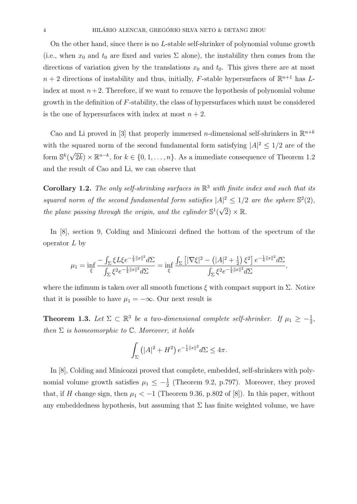On the other hand, since there is no L-stable self-shrinker of polynomial volume growth (i.e., when  $x_0$  and  $t_0$  are fixed and varies  $\Sigma$  alone), the instability then comes from the directions of variation given by the translations  $x_0$  and  $t_0$ . This gives there are at most  $n+2$  directions of instability and thus, initially, F-stable hypersurfaces of  $\mathbb{R}^{n+1}$  has Lindex at most  $n+2$ . Therefore, if we want to remove the hypothesis of polynomial volume growth in the definition of  $F$ -stability, the class of hypersurfaces which must be considered is the one of hypersurfaces with index at most  $n + 2$ .

Cao and Li proved in [3] that properly immersed *n*-dimensional self-shrinkers in  $\mathbb{R}^{n+k}$ with the squared norm of the second fundamental form satisfying  $|A|^2 \leq 1/2$  are of the form  $\mathbb{S}^k$  (  $\sqrt{2k}$ ) ×  $\mathbb{R}^{n-k}$ , for  $k \in \{0, 1, ..., n\}$ . As a immediate consequence of Theorem 1.2 and the result of Cao and Li, we can observe that

Corollary 1.2. The only self-shrinking surfaces in  $\mathbb{R}^3$  with finite index and such that its squared norm of the second fundamental form satisfies  $|A|^2 \leq 1/2$  are the sphere  $\mathbb{S}^2(2)$ , the plane passing through the origin, and the cylinder  $\mathbb{S}^1$  $\sqrt{2}$ )  $\times$  R.

In [8], section 9, Colding and Minicozzi defined the bottom of the spectrum of the operator  $L$  by

$$
\mu_1 = \inf_{\xi} \frac{-\int_{\Sigma} \xi L \xi e^{-\frac{1}{4} ||x||^2} d\Sigma}{\int_{\Sigma} \xi^2 e^{-\frac{1}{4} ||x||^2} d\Sigma} = \inf_{\xi} \frac{\int_{\Sigma} \left[ |\nabla \xi|^2 - \left( |A|^2 + \frac{1}{2} \right) \xi^2 \right] e^{-\frac{1}{4} ||x||^2} d\Sigma}{\int_{\Sigma} \xi^2 e^{-\frac{1}{4} ||x||^2} d\Sigma},
$$

where the infimum is taken over all smooth functions  $\xi$  with compact support in  $\Sigma$ . Notice that it is possible to have  $\mu_1 = -\infty$ . Our next result is

**Theorem 1.3.** Let  $\Sigma \subset \mathbb{R}^3$  be a two-dimensional complete self-shrinker. If  $\mu_1 \geq -\frac{1}{2}$ , then  $\Sigma$  is homeomorphic to  $\mathbb C$ . Moreover, it holds

$$
\int_{\Sigma} (|A|^2 + H^2) e^{-\frac{1}{4}||x||^2} d\Sigma \le 4\pi.
$$

In [8], Colding and Minicozzi proved that complete, embedded, self-shrinkers with polynomial volume growth satisfies  $\mu_1 \leq -\frac{1}{2}$  (Theorem 9.2, p.797). Moreover, they proved that, if H change sign, then  $\mu_1 < -1$  (Theorem 9.36, p.802 of [8]). In this paper, without any embeddedness hypothesis, but assuming that  $\Sigma$  has finite weighted volume, we have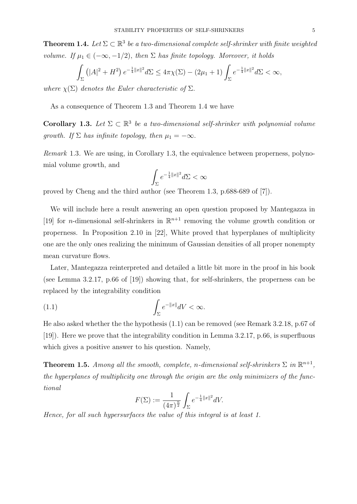**Theorem 1.4.** Let  $\Sigma \subset \mathbb{R}^3$  be a two-dimensional complete self-shrinker with finite weighted volume. If  $\mu_1 \in (-\infty, -1/2)$ , then  $\Sigma$  has finite topology. Moreover, it holds

$$
\int_{\Sigma} (|A|^2 + H^2) e^{-\frac{1}{4}||x||^2} d\Sigma \le 4\pi \chi(\Sigma) - (2\mu_1 + 1) \int_{\Sigma} e^{-\frac{1}{4}||x||^2} d\Sigma < \infty,
$$

where  $\chi(\Sigma)$  denotes the Euler characteristic of  $\Sigma$ .

As a consequence of Theorem 1.3 and Theorem 1.4 we have

**Corollary 1.3.** Let  $\Sigma \subset \mathbb{R}^3$  be a two-dimensional self-shrinker with polynomial volume growth. If  $\Sigma$  has infinite topology, then  $\mu_1 = -\infty$ .

Remark 1.3. We are using, in Corollary 1.3, the equivalence between properness, polynomial volume growth, and

$$
\int_{\Sigma} e^{-\frac{1}{4}||x||^2} d\Sigma < \infty
$$

proved by Cheng and the third author (see Theorem 1.3, p.688-689 of [7]).

We will include here a result answering an open question proposed by Mantegazza in [19] for *n*-dimensional self-shrinkers in  $\mathbb{R}^{n+1}$  removing the volume growth condition or properness. In Proposition 2.10 in [22], White proved that hyperplanes of multiplicity one are the only ones realizing the minimum of Gaussian densities of all proper nonempty mean curvature flows.

Later, Mantegazza reinterpreted and detailed a little bit more in the proof in his book (see Lemma 3.2.17, p.66 of [19]) showing that, for self-shrinkers, the properness can be replaced by the integrability condition

(1.1) 
$$
\int_{\Sigma} e^{-\|x\|} dV < \infty.
$$

He also asked whether the the hypothesis (1.1) can be removed (see Remark 3.2.18, p.67 of [19]). Here we prove that the integrability condition in Lemma 3.2.17, p.66, is superfluous which gives a positive answer to his question. Namely,

**Theorem 1.5.** Among all the smooth, complete, n-dimensional self-shrinkers  $\Sigma$  in  $\mathbb{R}^{n+1}$ , the hyperplanes of multiplicity one through the origin are the only minimizers of the functional

$$
F(\Sigma) := \frac{1}{(4\pi)^{\frac{n}{2}}} \int_{\Sigma} e^{-\frac{1}{4}||x||^2} dV.
$$

Hence, for all such hypersurfaces the value of this integral is at least 1.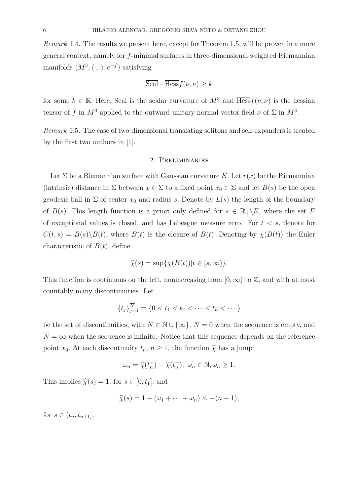Remark 1.4. The results we present here, except for Theorem 1.5, will be proven in a more general context, namely for f-minimal surfaces in three-dimensional weighted Riemannian manifolds  $(M^3, \langle \cdot, \cdot \rangle, e^{-f})$  satisfying

$$
\overline{\text{Scal}} + \overline{\text{Hess}} f(\nu, \nu) \ge k
$$

for some  $k \in \mathbb{R}$ . Here,  $\overline{Scal}$  is the scalar curvature of  $M^3$  and  $\overline{Hess} f(\nu, \nu)$  is the hessian tensor of f in  $M^3$  applied to the outward unitary normal vector field  $\nu$  of  $\Sigma$  in  $M^3$ .

Remark 1.5. The case of two-dimensional translating solitons and self-expanders is treated by the first two authors in [1].

### 2. Preliminaries

Let  $\Sigma$  be a Riemannian surface with Gaussian curvature K. Let  $r(x)$  be the Riemannian (intrinsic) distance in  $\Sigma$  between  $x \in \Sigma$  to a fixed point  $x_0 \in \Sigma$  and let  $B(s)$  be the open geodesic ball in  $\Sigma$  of center  $x_0$  and radius s. Denote by  $L(s)$  the length of the boundary of  $B(s)$ . This length function is a priori only defined for  $s \in \mathbb{R}_+ \backslash E$ , where the set E of exceptional values is closed, and has Lebesgue measure zero. For  $t < s$ , denote for  $C(t,s) = B(s) \backslash \overline{B}(t)$ , where  $\overline{B}(t)$  is the closure of  $B(t)$ . Denoting by  $\chi(B(t))$  the Euler characteristic of  $B(t)$ , define

$$
\widehat{\chi}(s) = \sup \{ \chi(B(t)) | t \in [s, \infty) \}.
$$

This function is continuous on the left, nonincreasing from  $[0, \infty)$  to  $\mathbb{Z}$ , and with at most countably many discontinuities. Let

$$
\{t_j\}_{j=1}^{\overline{N}} = \{0 < t_1 < t_2 < \cdots < t_n < \cdots\}
$$

be the set of discontinuities, with  $\overline{N} \in \mathbb{N} \cup \{\infty\}$ ,  $\overline{N} = 0$  when the sequence is empty, and  $\overline{N} = \infty$  when the sequence is infinite. Notice that this sequence depends on the reference point  $x_0$ . At each discontinuity  $t_n$ ,  $n \geq 1$ , the function  $\hat{\chi}$  has a jump

$$
\omega_n = \widehat{\chi}(t_n^-) - \widehat{\chi}(t_n^+), \ \omega_n \in \mathbb{N}, \omega_n \ge 1.
$$

This implies  $\widehat{\chi}(s) = 1$ , for  $s \in [0, t_1]$ , and

$$
\widehat{\chi}(s) = 1 - (\omega_1 + \cdots + \omega_n) \leq -(n-1),
$$

for  $s \in (t_n, t_{n+1}]$ .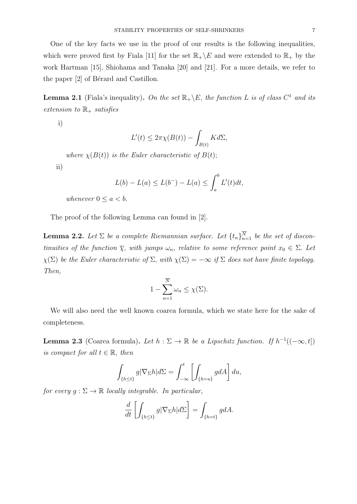One of the key facts we use in the proof of our results is the following inequalities, which were proved first by Fiala [11] for the set  $\mathbb{R}_+\backslash E$  and were extended to  $\mathbb{R}_+$  by the work Hartman [15], Shiohama and Tanaka [20] and [21]. For a more details, we refer to the paper  $[2]$  of Bérard and Castillon.

**Lemma 2.1** (Fiala's inequality). On the set  $\mathbb{R}_+ \backslash E$ , the function L is of class  $C^1$  and its extension to  $\mathbb{R}_+$  satisfies

i)

$$
L'(t) \le 2\pi \chi(B(t)) - \int_{B(t)} K d\Sigma,
$$

where  $\chi(B(t))$  is the Euler characteristic of  $B(t)$ ;

ii)

$$
L(b) - L(a) \le L(b^-) - L(a) \le \int_a^b L'(t)dt,
$$

whenever  $0 \leq a < b$ .

The proof of the following Lemma can found in [2].

**Lemma 2.2.** Let  $\Sigma$  be a complete Riemannian surface. Let  $\{t_n\}_{n=1}^N$  be the set of discontinuities of the function  $\overline{\chi}$ , with jumps  $\omega_n$ , relative to some reference point  $x_0 \in \Sigma$ . Let  $\chi(\Sigma)$  be the Euler characteristic of  $\Sigma$ , with  $\chi(\Sigma) = -\infty$  if  $\Sigma$  does not have finite topology. Then,

$$
1 - \sum_{n=1}^{\overline{N}} \omega_n \le \chi(\Sigma).
$$

We will also need the well known coarea formula, which we state here for the sake of completeness.

**Lemma 2.3** (Coarea formula). Let  $h : \Sigma \to \mathbb{R}$  be a Lipschitz function. If  $h^{-1}((-\infty, t])$ is compact for all  $t \in \mathbb{R}$ , then

$$
\int_{\{h\leq t\}} g|\nabla_{\Sigma}h|d\Sigma = \int_{-\infty}^{t} \left[ \int_{\{h=u\}} g dA \right] du,
$$

for every  $g : \Sigma \to \mathbb{R}$  locally integrable. In particular,

$$
\frac{d}{dt} \left[ \int_{\{h \le t\}} g |\nabla_{\Sigma} h| d\Sigma \right] = \int_{\{h = t\}} g dA.
$$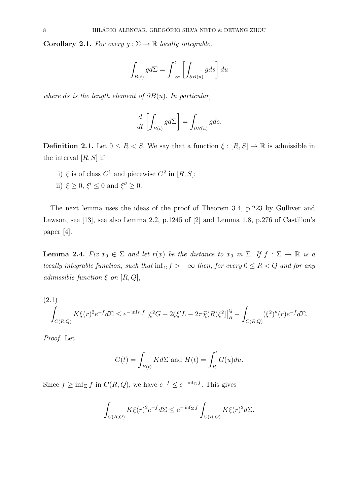Corollary 2.1. For every  $g : \Sigma \to \mathbb{R}$  locally integrable,

$$
\int_{B(t)} g d\Sigma = \int_{-\infty}^{t} \left[ \int_{\partial B(u)} g ds \right] du
$$

where ds is the length element of  $\partial B(u)$ . In particular,

$$
\frac{d}{dt} \left[ \int_{B(t)} g d\Sigma \right] = \int_{\partial B(u)} g ds.
$$

**Definition 2.1.** Let  $0 \leq R < S$ . We say that a function  $\xi : [R, S] \to \mathbb{R}$  is admissible in the interval  $[R, S]$  if

- i)  $\xi$  is of class  $C^1$  and piecewise  $C^2$  in  $[R, S];$
- ii)  $\xi \geq 0$ ,  $\xi' \leq 0$  and  $\xi'' \geq 0$ .

The next lemma uses the ideas of the proof of Theorem 3.4, p.223 by Gulliver and Lawson, see [13], see also Lemma 2.2, p.1245 of [2] and Lemma 1.8, p.276 of Castillon's paper [4].

**Lemma 2.4.** Fix  $x_0 \in \Sigma$  and let  $r(x)$  be the distance to  $x_0$  in  $\Sigma$ . If  $f : \Sigma \to \mathbb{R}$  is a locally integrable function, such that  $\inf_{\Sigma} f > -\infty$  then, for every  $0 \le R < Q$  and for any admissible function  $\xi$  on  $[R, Q]$ ,

(2.1)  

$$
\int_{C(R,Q)} K\xi(r)^2 e^{-f} d\Sigma \le e^{-\inf_{\Sigma} f} \left[ \xi^2 G + 2\xi \xi' L - 2\pi \widehat{\chi}(R) \xi^2 \right] \Big|_{R}^Q - \int_{C(R,Q)} (\xi^2)''(r) e^{-f} d\Sigma.
$$

Proof. Let

$$
G(t) = \int_{B(t)} K d\Sigma \text{ and } H(t) = \int_{R}^{t} G(u) du.
$$

Since  $f \ge \inf_{\Sigma} f$  in  $C(R, Q)$ , we have  $e^{-f} \le e^{-\inf_{\Sigma} f}$ . This gives

$$
\int_{C(R,Q)} K\xi(r)^2 e^{-f} d\Sigma \le e^{-\inf_{\Sigma} f} \int_{C(R,Q)} K\xi(r)^2 d\Sigma.
$$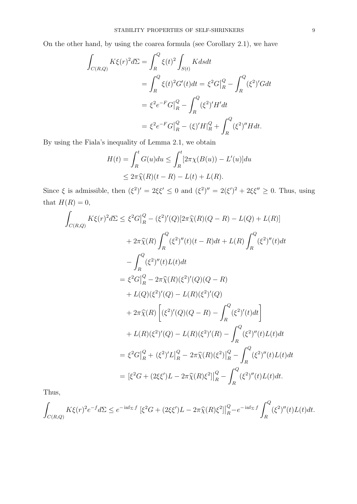On the other hand, by using the coarea formula (see Corollary 2.1), we have

$$
\int_{C(R,Q)} K\xi(r)^{2} d\Sigma = \int_{R}^{Q} \xi(t)^{2} \int_{S(t)} K ds dt
$$
  
= 
$$
\int_{R}^{Q} \xi(t)^{2} G'(t) dt = \xi^{2} G \Big|_{R}^{Q} - \int_{R}^{Q} (\xi^{2})' G dt
$$
  
= 
$$
\xi^{2} e^{-F} G \Big|_{R}^{Q} - \int_{R}^{Q} (\xi^{2})' H' dt
$$
  
= 
$$
\xi^{2} e^{-F} G \Big|_{R}^{Q} - (\xi)' H \Big|_{R}^{Q} + \int_{R}^{Q} (\xi^{2})'' H dt.
$$

By using the Fiala's inequality of Lemma 2.1, we obtain

$$
H(t) = \int_R^t G(u)du \le \int_R^t [2\pi\chi(B(u)) - L'(u)]du
$$
  

$$
\le 2\pi\widehat{\chi}(R)(t - R) - L(t) + L(R).
$$

Since  $\xi$  is admissible, then  $(\xi^2)' = 2\xi \xi' \leq 0$  and  $(\xi^2)'' = 2(\xi')^2 + 2\xi \xi'' \geq 0$ . Thus, using that  $H(R) = 0$ ,

$$
\int_{C(R,Q)} K\xi(r)^{2} d\Sigma \leq \xi^{2} G|_{R}^{Q} - (\xi^{2})'(Q)[2\pi\hat{\chi}(R)(Q-R) - L(Q) + L(R)]
$$
  
+  $2\pi\hat{\chi}(R) \int_{R}^{Q} (\xi^{2})''(t)(t-R)dt + L(R) \int_{R}^{Q} (\xi^{2})''(t)dt$   
-  $\int_{R}^{Q} (\xi^{2})''(t)L(t)dt$   
=  $\xi^{2} G|_{R}^{Q} - 2\pi\hat{\chi}(R)(\xi^{2})'(Q)(Q-R)$   
+  $L(Q)(\xi^{2})'(Q) - L(R)(\xi^{2})'(Q)$   
+  $2\pi\hat{\chi}(R) [(\xi^{2})'(Q)(Q-R) - \int_{R}^{Q} (\xi^{2})'(t)dt]$   
+  $L(R)(\xi^{2})'(Q) - L(R)(\xi^{2})'(R) - \int_{R}^{Q} (\xi^{2})''(t)L(t)dt$   
=  $\xi^{2} G|_{R}^{Q} + (\xi^{2})'L|_{R}^{Q} - 2\pi\hat{\chi}(R)(\xi^{2})|_{R}^{Q} - \int_{R}^{Q} (\xi^{2})''(t)L(t)dt$   
=  $[\xi^{2}G + (2\xi\xi')L - 2\pi\hat{\chi}(R)\xi^{2}]|_{R}^{Q} - \int_{R}^{Q} (\xi^{2})''(t)L(t)dt$ .

Thus,

$$
\int_{C(R,Q)} K\xi(r)^2 e^{-f} d\Sigma \le e^{-\inf_{\Sigma} f} \left[ \xi^2 G + (2\xi \xi') L - 2\pi \widehat{\chi}(R) \xi^2 \right] \Big|_{R}^Q - e^{-\inf_{\Sigma} f} \int_{R}^Q (\xi^2)''(t) L(t) dt.
$$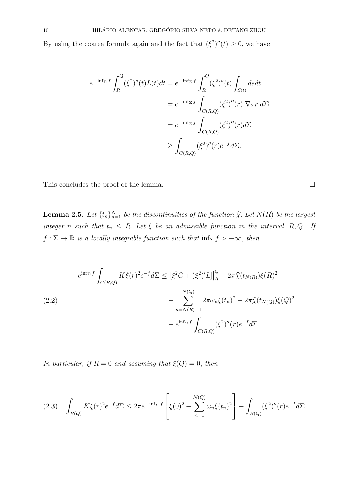By using the coarea formula again and the fact that  $(\xi^2)''(t) \geq 0$ , we have

$$
e^{-\inf_{\Sigma}f} \int_{R}^{Q} (\xi^2)''(t)L(t)dt = e^{-\inf_{\Sigma}f} \int_{R}^{Q} (\xi^2)''(t) \int_{S(t)} dsdt
$$
  

$$
= e^{-\inf_{\Sigma}f} \int_{C(R,Q)} (\xi^2)''(r)|\nabla_{\Sigma}r|d\Sigma
$$
  

$$
= e^{-\inf_{\Sigma}f} \int_{C(R,Q)} (\xi^2)''(r)d\Sigma
$$
  

$$
\geq \int_{C(R,Q)} (\xi^2)''(r)e^{-f}d\Sigma.
$$

This concludes the proof of the lemma.  $\Box$ 

**Lemma 2.5.** Let  $\{t_n\}_{n=1}^N$  be the discontinuities of the function  $\hat{\chi}$ . Let  $N(R)$  be the largest integer n such that  $t_n \leq R$ . Let  $\xi$  be an admissible function in the interval [R, Q]. If  $f: \Sigma \to \mathbb{R}$  is a locally integrable function such that  $\inf_{\Sigma} f > -\infty$ , then

$$
e^{\inf_{\Sigma} f} \int_{C(R,Q)} K\xi(r)^{2} e^{-f} d\Sigma \leq [\xi^{2} G + (\xi^{2})' L] \Big|_{R}^{Q} + 2\pi \hat{\chi}(t_{N(R)}) \xi(R)^{2}
$$
  

$$
- \sum_{n=N(R)+1}^{N(Q)} 2\pi \omega_{n} \xi(t_{n})^{2} - 2\pi \hat{\chi}(t_{N(Q)}) \xi(Q)^{2}
$$
  

$$
- e^{\inf_{\Sigma} f} \int_{C(R,Q)} (\xi^{2})''(r) e^{-f} d\Sigma.
$$

In particular, if  $R = 0$  and assuming that  $\xi(Q) = 0$ , then

$$
(2.3) \quad \int_{B(Q)} K\xi(r)^2 e^{-f} d\Sigma \leq 2\pi e^{-\inf_{\Sigma} f} \left[ \xi(0)^2 - \sum_{n=1}^{N(Q)} \omega_n \xi(t_n)^2 \right] - \int_{B(Q)} (\xi^2)''(r) e^{-f} d\Sigma.
$$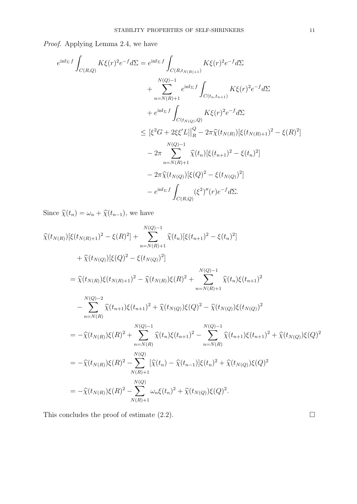Proof. Applying Lemma 2.4, we have

$$
e^{\inf_{\Sigma} f} \int_{C(R,Q)} K\xi(r)^{2} e^{-f} d\Sigma = e^{\inf_{\Sigma} f} \int_{C(R,t_{N(R)+1})} K\xi(r)^{2} e^{-f} d\Sigma
$$
  
+ 
$$
\sum_{n=N(R)+1}^{N(Q)-1} e^{\inf_{\Sigma} f} \int_{C(t_{n},t_{n+1})} K\xi(r)^{2} e^{-f} d\Sigma
$$
  
+ 
$$
e^{\inf_{\Sigma} f} \int_{C(t_{N(Q)},Q)} K\xi(r)^{2} e^{-f} d\Sigma
$$
  

$$
\leq [\xi^{2} G + 2\xi \xi'L] \Big|_{R}^{Q} - 2\pi \hat{\chi}(t_{N(R)}) [\xi(t_{N(R)+1})^{2} - \xi(R)^{2}]
$$
  
- 
$$
- 2\pi \sum_{n=N(R)+1}^{N(Q)-1} \hat{\chi}(t_{n}) [\xi(t_{n+1})^{2} - \xi(t_{n})^{2}]
$$
  
- 
$$
- 2\pi \hat{\chi}(t_{N(Q)}) [\xi(Q)^{2} - \xi(t_{N(Q)})^{2}]
$$
  
- 
$$
e^{\inf_{\Sigma} f} \int_{C(R,Q)} (\xi^{2})''(r) e^{-f} d\Sigma.
$$

Since  $\widehat{\chi}(t_n) = \omega_n + \widehat{\chi}(t_{n-1}),$  we have

$$
\hat{\chi}(t_{N(R)})[\xi(t_{N(R)+1})^{2} - \xi(R)^{2}] + \sum_{n=N(R)+1}^{N(Q)-1} \hat{\chi}(t_{n})[\xi(t_{n+1})^{2} - \xi(t_{n})^{2}] \n+ \hat{\chi}(t_{N(Q)})[\xi(Q)^{2} - \xi(t_{N(Q)})^{2}] \n= \hat{\chi}(t_{N(R)})\xi(t_{N(R)+1})^{2} - \hat{\chi}(t_{N(R)})\xi(R)^{2} + \sum_{n=N(R)+1}^{N(Q)-1} \hat{\chi}(t_{n})\xi(t_{n+1})^{2} \n- \sum_{n=N(R)}^{N(Q)-2} \hat{\chi}(t_{n+1})\xi(t_{n+1})^{2} + \hat{\chi}(t_{N(Q)})\xi(Q)^{2} - \hat{\chi}(t_{N(Q)})\xi(t_{N(Q)})^{2} \n= -\hat{\chi}(t_{N(R)})\xi(R)^{2} + \sum_{n=N(R)}^{N(Q)-1} \hat{\chi}(t_{n})\xi(t_{n+1})^{2} - \sum_{n=N(R)}^{N(Q)-1} \hat{\chi}(t_{n+1})\xi(t_{n+1})^{2} + \hat{\chi}(t_{N(Q)})\xi(Q)^{2} \n= -\hat{\chi}(t_{N(R)})\xi(R)^{2} - \sum_{N(R)+1}^{N(Q)} [\hat{\chi}(t_{n}) - \hat{\chi}(t_{n-1})]\xi(t_{n})^{2} + \hat{\chi}(t_{N(Q)})\xi(Q)^{2} \n= -\hat{\chi}(t_{N(R)})\xi(R)^{2} - \sum_{N(R)+1}^{N(Q)} [\hat{\chi}(t_{n}) - \hat{\chi}(t_{n-1})]\xi(t_{n})^{2} + \hat{\chi}(t_{N(Q)})\xi(Q)^{2}.
$$

This concludes the proof of estimate  $(2.2)$ .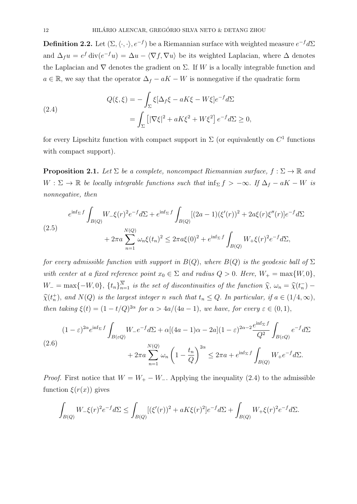**Definition 2.2.** Let  $(\Sigma, \langle \cdot, \cdot \rangle, e^{-f})$  be a Riemannian surface with weighted measure  $e^{-f}d\Sigma$ and  $\Delta_f u = e^f \text{div}(e^{-f}u) = \Delta u - \langle \nabla f, \nabla u \rangle$  be its weighted Laplacian, where  $\Delta$  denotes the Laplacian and  $\nabla$  denotes the gradient on  $\Sigma$ . If W is a locally integrable function and  $a \in \mathbb{R}$ , we say that the operator  $\Delta_f - aK - W$  is nonnegative if the quadratic form

(2.4)  
\n
$$
Q(\xi,\xi) = -\int_{\Sigma} \xi [\Delta_f \xi - aK\xi - W\xi] e^{-f} d\Sigma
$$
\n
$$
= \int_{\Sigma} \left[ |\nabla \xi|^2 + aK\xi^2 + W\xi^2 \right] e^{-f} d\Sigma \ge 0,
$$

for every Lipschitz function with compact support in  $\Sigma$  (or equivalently on  $C^1$  functions with compact support).

**Proposition 2.1.** Let  $\Sigma$  be a complete, noncompact Riemannian surface,  $f : \Sigma \to \mathbb{R}$  and  $W : \Sigma \to \mathbb{R}$  be locally integrable functions such that  $\inf_{\Sigma} f > -\infty$ . If  $\Delta_f - aK - W$  is nonnegative, then

$$
e^{\inf_{\Sigma} f} \int_{B(Q)} W_{-} \xi(r)^{2} e^{-f} d\Sigma + e^{\inf_{\Sigma} f} \int_{B(Q)} [(2a-1)(\xi'(r))^{2} + 2a\xi(r)\xi''(r)] e^{-f} d\Sigma
$$
  

$$
+ 2\pi a \sum_{n=1}^{N(Q)} \omega_{n} \xi(t_{n})^{2} \leq 2\pi a \xi(0)^{2} + e^{\inf_{\Sigma} f} \int_{B(Q)} W_{+} \xi(r)^{2} e^{-f} d\Sigma,
$$

for every admissible function with support in  $B(Q)$ , where  $B(Q)$  is the geodesic ball of  $\Sigma$ with center at a fixed reference point  $x_0 \in \Sigma$  and radius  $Q > 0$ . Here,  $W_+ = \max\{W, 0\}$ ,  $W_{-} = \max\{-W, 0\}, \{t_n\}_{n=1}^N$  is the set of discontinuities of the function  $\hat{\chi}, \omega_n = \hat{\chi}(t_n^-) \hat{\chi}(t_n^+)$ , and  $N(Q)$  is the largest integer n such that  $t_n \leq Q$ . In particular, if  $a \in (1/4, \infty)$ , then taking  $\xi(t) = (1 - t/Q)^{2\alpha}$  for  $\alpha > 4a/(4a - 1)$ , we have, for every  $\varepsilon \in (0, 1)$ ,

$$
(1 - \varepsilon)^{2\alpha} e^{\inf_{\Sigma} f} \int_{B(\varepsilon Q)} W_- e^{-f} d\Sigma + \alpha [(4a - 1)\alpha - 2a](1 - \varepsilon)^{2\alpha - 2} \frac{e^{\inf_{\Sigma} f}}{Q^2} \int_{B(\varepsilon Q)} e^{-f} d\Sigma
$$
  

$$
+ 2\pi a \sum_{n=1}^{N(Q)} \omega_n \left(1 - \frac{t_n}{Q}\right)^{2\alpha} \le 2\pi a + e^{\inf_{\Sigma} f} \int_{B(Q)} W_+ e^{-f} d\Sigma.
$$

*Proof.* First notice that  $W = W_+ - W_-$ . Applying the inequality (2.4) to the admissible function  $\xi(r(x))$  gives

$$
\int_{B(Q)} W_{-} \xi(r)^{2} e^{-f} d\Sigma \le \int_{B(Q)} [(\xi'(r))^{2} + aK\xi(r)^{2}] e^{-f} d\Sigma + \int_{B(Q)} W_{+} \xi(r)^{2} e^{-f} d\Sigma.
$$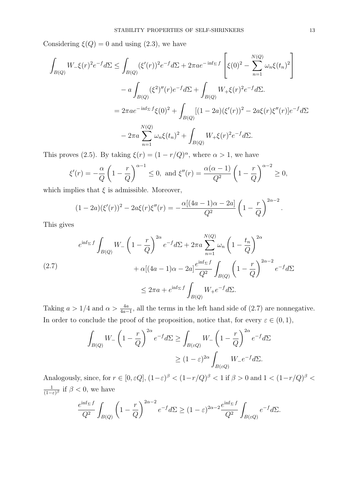Considering  $\xi(Q) = 0$  and using (2.3), we have

$$
\int_{B(Q)} W_{-} \xi(r)^{2} e^{-f} d\Sigma \leq \int_{B(Q)} (\xi'(r))^{2} e^{-f} d\Sigma + 2\pi a e^{-\inf_{\Sigma} f} \left[ \xi(0)^{2} - \sum_{n=1}^{N(Q)} \omega_{n} \xi(t_{n})^{2} \right]
$$

$$
- a \int_{B(Q)} (\xi^{2})''(r) e^{-f} d\Sigma + \int_{B(Q)} W_{+} \xi(r)^{2} e^{-f} d\Sigma.
$$

$$
= 2\pi a e^{-\inf_{\Sigma} f} \xi(0)^{2} + \int_{B(Q)} [(1 - 2a)(\xi'(r))^{2} - 2a\xi(r)\xi''(r)] e^{-f} d\Sigma
$$

$$
- 2\pi a \sum_{n=1}^{N(Q)} \omega_{n} \xi(t_{n})^{2} + \int_{B(Q)} W_{+} \xi(r)^{2} e^{-f} d\Sigma.
$$

This proves (2.5). By taking  $\xi(r) = (1 - r/Q)^{\alpha}$ , where  $\alpha > 1$ , we have

$$
\xi'(r) = -\frac{\alpha}{Q} \left( 1 - \frac{r}{Q} \right)^{\alpha - 1} \le 0, \text{ and } \xi''(r) = \frac{\alpha(\alpha - 1)}{Q^2} \left( 1 - \frac{r}{Q} \right)^{\alpha - 2} \ge 0,
$$

which implies that  $\xi$  is admissible. Moreover,

$$
(1 - 2a)(\xi'(r))^{2} - 2a\xi(r)\xi''(r) = -\frac{\alpha[(4a - 1)\alpha - 2a]}{Q^{2}} \left(1 - \frac{r}{Q}\right)^{2\alpha - 2}
$$

This gives

$$
e^{\inf_{\Sigma} f} \int_{B(Q)} W_{-} \left(1 - \frac{r}{Q}\right)^{2\alpha} e^{-f} d\Sigma + 2\pi a \sum_{n=1}^{N(Q)} \omega_n \left(1 - \frac{t_n}{Q}\right)^{2\alpha} + \alpha [(4a - 1)\alpha - 2a] \frac{e^{\inf_{\Sigma} f}}{Q^2} \int_{B(Q)} \left(1 - \frac{r}{Q}\right)^{2\alpha - 2} e^{-f} d\Sigma \leq 2\pi a + e^{\inf_{\Sigma} f} \int_{B(Q)} W_{+} e^{-f} d\Sigma.
$$

Taking  $a > 1/4$  and  $\alpha > \frac{4a}{4a-1}$ , all the terms in the left hand side of (2.7) are nonnegative. In order to conclude the proof of the proposition, notice that, for every  $\varepsilon \in (0,1)$ ,

$$
\int_{B(Q)} W_{-} \left( 1 - \frac{r}{Q} \right)^{2\alpha} e^{-f} d\Sigma \ge \int_{B(\varepsilon Q)} W_{-} \left( 1 - \frac{r}{Q} \right)^{2\alpha} e^{-f} d\Sigma
$$

$$
\ge (1 - \varepsilon)^{2\alpha} \int_{B(\varepsilon Q)} W_{-} e^{-f} d\Sigma.
$$

Analogously, since, for  $r \in [0, \varepsilon Q]$ ,  $(1-\varepsilon)^{\beta} < (1-r/Q)^{\beta} < 1$  if  $\beta > 0$  and  $1 < (1-r/Q)^{\beta} <$ 1  $\frac{1}{(1-\varepsilon)^{\beta}}$  if  $\beta < 0$ , we have

$$
\frac{e^{\inf_{\Sigma}f}}{Q^2} \int_{B(Q)} \left(1 - \frac{r}{Q}\right)^{2\alpha - 2} e^{-f} d\Sigma \ge (1 - \varepsilon)^{2\alpha - 2} \frac{e^{\inf_{\Sigma}f}}{Q^2} \int_{B(\varepsilon Q)} e^{-f} d\Sigma.
$$

.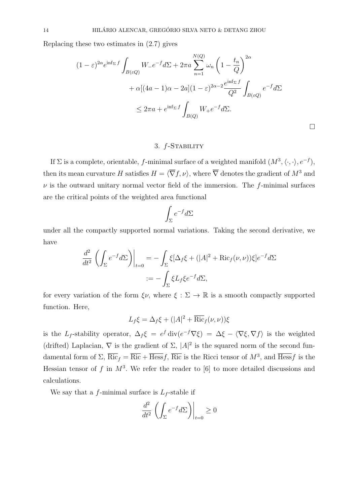Replacing these two estimates in (2.7) gives

$$
(1 - \varepsilon)^{2\alpha} e^{\inf_{\Sigma} f} \int_{B(\varepsilon Q)} W_- e^{-f} d\Sigma + 2\pi a \sum_{n=1}^{N(Q)} \omega_n \left( 1 - \frac{t_n}{Q} \right)^{2\alpha}
$$

$$
+ \alpha [(4a - 1)\alpha - 2a](1 - \varepsilon)^{2\alpha - 2} \frac{e^{\inf_{\Sigma} f}}{Q^2} \int_{B(\varepsilon Q)} e^{-f} d\Sigma
$$

$$
\leq 2\pi a + e^{\inf_{\Sigma} f} \int_{B(Q)} W_+ e^{-f} d\Sigma.
$$

 $\Box$ 

#### 3. f-Stability

If  $\Sigma$  is a complete, orientable, f-minimal surface of a weighted manifold  $(M^3, \langle \cdot, \cdot \rangle, e^{-f}),$ then its mean curvature H satisfies  $H = \langle \overline{\nabla} f, \nu \rangle$ , where  $\overline{\nabla}$  denotes the gradient of  $M^3$  and  $\nu$  is the outward unitary normal vector field of the immersion. The f-minimal surfaces are the critical points of the weighted area functional

$$
\int_{\Sigma} e^{-f} d\Sigma
$$

under all the compactly supported normal variations. Taking the second derivative, we have

$$
\frac{d^2}{dt^2} \left( \int_{\Sigma} e^{-f} d\Sigma \right) \Big|_{t=0} = -\int_{\Sigma} \xi [\Delta_f \xi + (|A|^2 + \text{Ric}_f(\nu, \nu)) \xi] e^{-f} d\Sigma
$$

$$
:= -\int_{\Sigma} \xi L_f \xi e^{-f} d\Sigma,
$$

for every variation of the form  $\xi \nu$ , where  $\xi : \Sigma \to \mathbb{R}$  is a smooth compactly supported function. Here,

$$
L_f \xi = \Delta_f \xi + (|A|^2 + \overline{\text{Ric}}_f(\nu, \nu))\xi
$$

is the L<sub>f</sub>-stability operator,  $\Delta_f \xi = e^f \text{div}(e^{-f} \nabla \xi) = \Delta \xi - \langle \nabla \xi, \nabla f \rangle$  is the weighted (drifted) Laplacian,  $\nabla$  is the gradient of  $\Sigma$ ,  $|A|^2$  is the squared norm of the second fundamental form of  $\Sigma$ ,  $\overline{\mathrm{Ric}}_f = \overline{\mathrm{Ric}} + \overline{\mathrm{Hess}} f$ ,  $\overline{\mathrm{Ric}}$  is the Ricci tensor of  $M^3$ , and  $\overline{\mathrm{Hess}} f$  is the Hessian tensor of f in  $M^3$ . We refer the reader to [6] to more detailed discussions and calculations.

We say that a f-minimal surface is  $L_f$ -stable if

$$
\frac{d^2}{dt^2} \left( \int_{\Sigma} e^{-f} d\Sigma \right) \Big|_{t=0} \ge 0
$$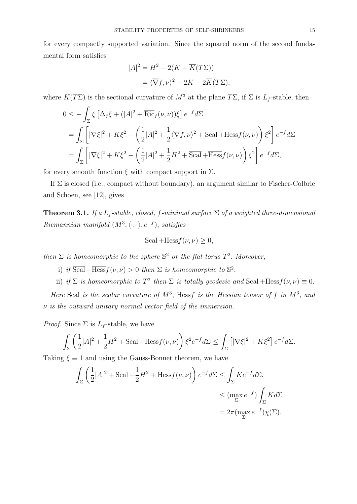for every compactly supported variation. Since the squared norm of the second fundamental form satisfies

$$
|A|^2 = H^2 - 2(K - \overline{K}(T\Sigma))
$$
  
=  $\langle \overline{\nabla} f, \nu \rangle^2 - 2K + 2\overline{K}(T\Sigma),$ 

where  $\overline{K}(T\Sigma)$  is the sectional curvature of  $M^3$  at the plane  $T\Sigma$ , if  $\Sigma$  is  $L_f$ -stable, then

$$
0 \leq -\int_{\Sigma} \xi \left[ \Delta_f \xi + (|A|^2 + \overline{\text{Ric}}_f(\nu, \nu)) \xi \right] e^{-f} d\Sigma
$$
  
= 
$$
\int_{\Sigma} \left[ |\nabla \xi|^2 + K \xi^2 - \left( \frac{1}{2} |A|^2 + \frac{1}{2} \langle \overline{\nabla} f, \nu \rangle^2 + \overline{\text{Scal}} + \overline{\text{Hess}} f(\nu, \nu) \right) \xi^2 \right] e^{-f} d\Sigma
$$
  
= 
$$
\int_{\Sigma} \left[ |\nabla \xi|^2 + K \xi^2 - \left( \frac{1}{2} |A|^2 + \frac{1}{2} H^2 + \overline{\text{Scal}} + \overline{\text{Hess}} f(\nu, \nu) \right) \xi^2 \right] e^{-f} d\Sigma,
$$

for every smooth function  $\xi$  with compact support in  $\Sigma$ .

If  $\Sigma$  is closed (i.e., compact without boundary), an argument similar to Fischer-Colbrie and Schoen, see [12], gives

**Theorem 3.1.** If a  $L_f$ -stable, closed, f-minimal surface  $\Sigma$  of a weighted three-dimensional Riemannian manifold  $(M^3, \langle \cdot, \cdot \rangle, e^{-f})$ , satisfies

$$
\overline{\text{Scal}} + \overline{\text{Hess}} f(\nu, \nu) \ge 0,
$$

then  $\Sigma$  is homeomorphic to the sphere  $\mathbb{S}^2$  or the flat torus  $T^2$ . Moreover,

- i) if  $\overline{\text{Scal}} + \overline{\text{Hess}} f(\nu, \nu) > 0$  then  $\Sigma$  is homeomorphic to  $\mathbb{S}^2$ ;
- ii) if  $\Sigma$  is homeomorphic to  $T^2$  then  $\Sigma$  is totally geodesic and  $\overline{\text{Scal}} + \overline{\text{Hess}} f(\nu, \nu) \equiv 0$ .

Here  $\overline{Scal}$  is the scalar curvature of  $M^3$ ,  $\overline{Hess}f$  is the Hessian tensor of f in  $M^3$ , and  $\nu$  is the outward unitary normal vector field of the immersion.

*Proof.* Since  $\Sigma$  is  $L_f$ -stable, we have

$$
\int_{\Sigma} \left( \frac{1}{2} |A|^2 + \frac{1}{2} H^2 + \overline{\text{Scal}} + \overline{\text{Hess}} f(\nu, \nu) \right) \xi^2 e^{-f} d\Sigma \le \int_{\Sigma} \left[ |\nabla \xi|^2 + K \xi^2 \right] e^{-f} d\Sigma.
$$

Taking  $\xi \equiv 1$  and using the Gauss-Bonnet theorem, we have

$$
\int_{\Sigma} \left( \frac{1}{2} |A|^2 + \overline{\text{Scal}} + \frac{1}{2} H^2 + \overline{\text{Hess}} f(\nu, \nu) \right) e^{-f} d\Sigma \le \int_{\Sigma} K e^{-f} d\Sigma.
$$
\n
$$
\le (\max_{\Sigma} e^{-f}) \int_{\Sigma} K d\Sigma
$$
\n
$$
= 2\pi (\max_{\Sigma} e^{-f}) \chi(\Sigma).
$$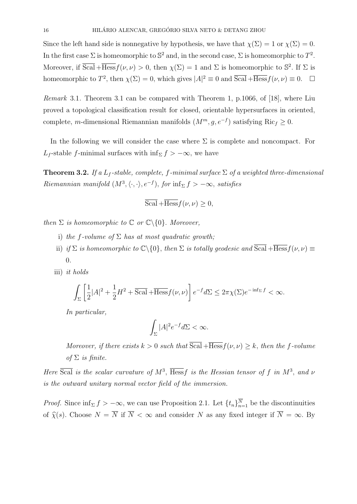Since the left hand side is nonnegative by hypothesis, we have that  $\chi(\Sigma) = 1$  or  $\chi(\Sigma) = 0$ . In the first case  $\Sigma$  is homeomorphic to  $\mathbb{S}^2$  and, in the second case,  $\Sigma$  is homeomorphic to  $T^2$ . Moreover, if  $\overline{Scal} + \overline{Hess} f(\nu, \nu) > 0$ , then  $\chi(\Sigma) = 1$  and  $\Sigma$  is homeomorphic to  $\mathbb{S}^2$ . If  $\Sigma$  is homeomorphic to  $T^2$ , then  $\chi(\Sigma) = 0$ , which gives  $|A|^2 \equiv 0$  and  $\overline{Scal} + \overline{Hess} f(\nu, \nu) \equiv 0$ .  $\Box$ 

Remark 3.1. Theorem 3.1 can be compared with Theorem 1, p.1066, of [18], where Liu proved a topological classification result for closed, orientable hypersurfaces in oriented, complete, m-dimensional Riemannian manifolds  $(M^m, g, e^{-f})$  satisfying Ric<sub>f</sub> ≥ 0.

In the following we will consider the case where  $\Sigma$  is complete and noncompact. For L<sub>f</sub>-stable f-minimal surfaces with inf<sub>Σ</sub>  $f > -\infty$ , we have

**Theorem 3.2.** If a L<sub>f</sub>-stable, complete, f-minimal surface  $\Sigma$  of a weighted three-dimensional Riemannian manifold  $(M^3, \langle \cdot, \cdot \rangle, e^{-f})$ , for  $\inf_{\Sigma} f > -\infty$ , satisfies

$$
\overline{\mathrm{Scal}} + \overline{\mathrm{Hess}} f(\nu, \nu) \ge 0,
$$

then  $\Sigma$  is homeomorphic to  $\mathbb C$  or  $\mathbb C\backslash\{0\}$ . Moreover,

- i) the f-volume of  $\Sigma$  has at most quadratic growth;
- ii) if  $\Sigma$  is homeomorphic to  $\mathbb{C}\backslash\{0\}$ , then  $\Sigma$  is totally geodesic and  $\overline{\text{Scal}} + \overline{\text{Hess}} f(\nu, \nu) \equiv$ 0.
- iii) it holds

$$
\int_{\Sigma} \left[ \frac{1}{2} |A|^2 + \frac{1}{2} H^2 + \overline{\text{Scal}} + \overline{\text{Hess}} f(\nu, \nu) \right] e^{-f} d\Sigma \le 2\pi \chi(\Sigma) e^{-\inf_{\Sigma} f} < \infty.
$$

In particular,

$$
\int_{\Sigma} |A|^2 e^{-f} d\Sigma < \infty.
$$

Moreover, if there exists  $k > 0$  such that  $\overline{Scal} + \overline{Hess} f(\nu, \nu) > k$ , then the f-volume of  $\Sigma$  is finite.

Here  $\overline{Scal}$  is the scalar curvature of  $M^3$ ,  $\overline{Hess}f$  is the Hessian tensor of f in  $M^3$ , and  $\nu$ is the outward unitary normal vector field of the immersion.

*Proof.* Since  $\inf_{\Sigma} f > -\infty$ , we can use Proposition 2.1. Let  $\{t_n\}_{n=1}^N$  be the discontinuities of  $\widehat{\chi}(s)$ . Choose  $N = \overline{N}$  if  $\overline{N} < \infty$  and consider N as any fixed integer if  $\overline{N} = \infty$ . By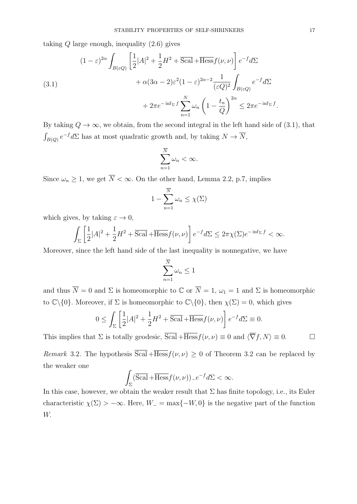taking  $Q$  large enough, inequality  $(2.6)$  gives

(3.1)  
\n
$$
(1 - \varepsilon)^{2\alpha} \int_{B(\varepsilon Q)} \left[ \frac{1}{2} |A|^2 + \frac{1}{2} H^2 + \overline{\text{Scal}} + \overline{\text{Hess}} f(\nu, \nu) \right] e^{-f} d\Sigma + \alpha (3\alpha - 2)\varepsilon^2 (1 - \varepsilon)^{2\alpha - 2} \frac{1}{(\varepsilon Q)^2} \int_{B(\varepsilon Q)} e^{-f} d\Sigma + 2\pi e^{-\inf_{\Sigma} f} \sum_{n=1}^N \omega_n \left( 1 - \frac{t_n}{Q} \right)^{2\alpha} \leq 2\pi e^{-\inf_{\Sigma} f}.
$$

By taking  $Q \to \infty$ , we obtain, from the second integral in the left hand side of (3.1), that  $\int_{B(Q)} e^{-f} d\Sigma$  has at most quadratic growth and, by taking  $N \to \overline{N}$ ,

$$
\sum_{n=1}^{\overline{N}}\omega_n < \infty.
$$

Since  $\omega_n \geq 1$ , we get  $\overline{N} < \infty$ . On the other hand, Lemma 2.2, p.7, implies

$$
1 - \sum_{n=1}^{\overline{N}} \omega_n \le \chi(\Sigma)
$$

which gives, by taking  $\varepsilon \to 0$ ,

$$
\int_{\Sigma} \left[ \frac{1}{2} |A|^2 + \frac{1}{2} H^2 + \overline{\text{Scal}} + \overline{\text{Hess}} f(\nu, \nu) \right] e^{-f} d\Sigma \le 2\pi \chi(\Sigma) e^{-\inf_{\Sigma} f} < \infty.
$$

Moreover, since the left hand side of the last inequality is nonnegative, we have

$$
\sum_{n=1}^{\overline{N}} \omega_n \le 1
$$

and thus  $\overline{N} = 0$  and  $\Sigma$  is homeomorphic to  $\mathbb{C}$  or  $\overline{N} = 1$ ,  $\omega_1 = 1$  and  $\Sigma$  is homeomorphic to  $\mathbb{C}\backslash\{0\}$ . Moreover, if  $\Sigma$  is homeomorphic to  $\mathbb{C}\backslash\{0\}$ , then  $\chi(\Sigma) = 0$ , which gives

$$
0 \le \int_{\Sigma} \left[ \frac{1}{2} |A|^2 + \frac{1}{2} H^2 + \overline{\text{Scal}} + \overline{\text{Hess}} f(\nu, \nu) \right] e^{-f} d\Sigma \equiv 0.
$$

This implies that  $\Sigma$  is totally geodesic,  $\overline{Scal} + \overline{Hess} f(\nu, \nu) \equiv 0$  and  $\langle \overline{\nabla} f, N \rangle \equiv 0$ .

*Remark* 3.2. The hypothesis  $\overline{Scal} + \overline{Hess} f(\nu, \nu) \geq 0$  of Theorem 3.2 can be replaced by the weaker one

$$
\int_{\Sigma} (\overline{\text{Scal}} + \overline{\text{Hess}} f(\nu, \nu))_{-} e^{-f} d\Sigma < \infty.
$$

In this case, however, we obtain the weaker result that  $\Sigma$  has finite topology, i.e., its Euler characteristic  $\chi(\Sigma) > -\infty$ . Here,  $W_- = \max\{-W, 0\}$  is the negative part of the function W.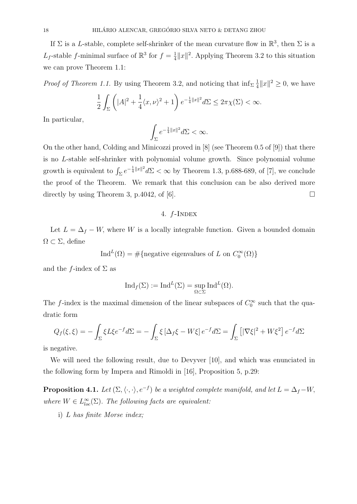If  $\Sigma$  is a L-stable, complete self-shrinker of the mean curvature flow in  $\mathbb{R}^3$ , then  $\Sigma$  is a L<sub>f</sub>-stable f-minimal surface of  $\mathbb{R}^3$  for  $f = \frac{1}{4}$  $\frac{1}{4}||x||^2$ . Applying Theorem 3.2 to this situation we can prove Theorem 1.1:

*Proof of Theorem 1.1.* By using Theorem 3.2, and noticing that  $\inf_{\Sigma} \frac{1}{4}$  $\frac{1}{4}||x||^2 \ge 0$ , we have

$$
\frac{1}{2}\int_{\Sigma} \left( |A|^2 + \frac{1}{4} \langle x, \nu \rangle^2 + 1 \right) e^{-\frac{1}{4}||x||^2} d\Sigma \le 2\pi \chi(\Sigma) < \infty.
$$

In particular,

$$
\int_{\Sigma} e^{-\frac{1}{4}||x||^2} d\Sigma < \infty.
$$

On the other hand, Colding and Minicozzi proved in [8] (see Theorem 0.5 of [9]) that there is no L-stable self-shrinker with polynomial volume growth. Since polynomial volume growth is equivalent to  $\int_{\Sigma} e^{-\frac{1}{4}||x||^2} d\Sigma < \infty$  by Theorem 1.3, p.688-689, of [7], we conclude the proof of the Theorem. We remark that this conclusion can be also derived more directly by using Theorem 3, p.4042, of [6].  $\Box$ 

## 4. f-Index

Let  $L = \Delta_f - W$ , where W is a locally integrable function. Given a bounded domain  $\Omega \subset \Sigma$ , define

Ind<sup>L</sup>( $\Omega$ ) = #{negative eigenvalues of L on  $C_0^{\infty}(\Omega)$ }

and the f-index of  $\Sigma$  as

$$
\mathrm{Ind}_f(\Sigma) := \mathrm{Ind}^L(\Sigma) = \sup_{\Omega \subset \Sigma} \mathrm{Ind}^L(\Omega).
$$

The f-index is the maximal dimension of the linear subspaces of  $C_0^{\infty}$  such that the quadratic form

$$
Q_f(\xi,\xi) = -\int_{\Sigma} \xi L \xi e^{-f} d\Sigma = -\int_{\Sigma} \xi \left[\Delta_f \xi - W \xi\right] e^{-f} d\Sigma = \int_{\Sigma} \left[|\nabla \xi|^2 + W \xi^2\right] e^{-f} d\Sigma
$$

is negative.

We will need the following result, due to Devyver [10], and which was enunciated in the following form by Impera and Rimoldi in [16], Proposition 5, p.29:

**Proposition 4.1.** Let  $(\Sigma, \langle \cdot, \cdot \rangle, e^{-f})$  be a weighted complete manifold, and let  $L = \Delta_f - W$ , where  $W \in L^{\infty}_{loc}(\Sigma)$ . The following facts are equivalent:

i) L has finite Morse index;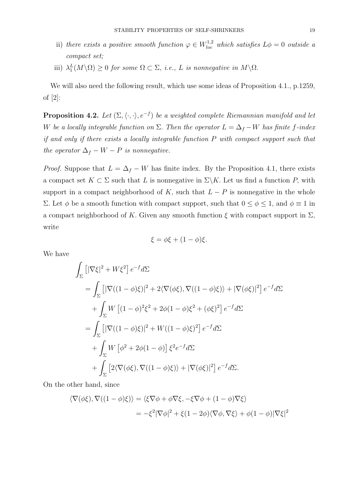- ii) there exists a positive smooth function  $\varphi \in W^{1,2}_{loc}$  which satisfies  $L\phi = 0$  outside a compact set;
- iii)  $\lambda_1^L(M \setminus \Omega) \geq 0$  for some  $\Omega \subset \Sigma$ , i.e., L is nonnegative in  $M \setminus \Omega$ .

We will also need the following result, which use some ideas of Proposition 4.1., p.1259, of [2]:

**Proposition 4.2.** Let  $(\Sigma, \langle \cdot, \cdot \rangle, e^{-f})$  be a weighted complete Riemannian manifold and let W be a locally integrable function on  $\Sigma$ . Then the operator  $L = \Delta_f - W$  has finite f-index if and only if there exists a locally integrable function P with compact support such that the operator  $\Delta_f - W - P$  is nonnegative.

*Proof.* Suppose that  $L = \Delta_f - W$  has finite index. By the Proposition 4.1, there exists a compact set  $K \subset \Sigma$  such that L is nonnegative in  $\Sigma \backslash K$ . Let us find a function P, with support in a compact neighborhood of K, such that  $L - P$  is nonnegative in the whole Σ. Let φ be a smooth function with compact support, such that  $0 ≤ φ ≤ 1$ , and  $φ ≡ 1$  in a compact neighborhood of K. Given any smooth function  $\xi$  with compact support in  $\Sigma$ , write

$$
\xi = \phi \xi + (1 - \phi)\xi.
$$

We have

$$
\int_{\Sigma} \left[ |\nabla \xi|^2 + W \xi^2 \right] e^{-f} d\Sigma
$$
\n
$$
= \int_{\Sigma} \left[ |\nabla ((1 - \phi)\xi)|^2 + 2\langle \nabla (\phi \xi), \nabla ((1 - \phi)\xi) \rangle + |\nabla (\phi \xi)|^2 \right] e^{-f} d\Sigma
$$
\n
$$
+ \int_{\Sigma} W \left[ (1 - \phi)^2 \xi^2 + 2\phi (1 - \phi) \xi^2 + (\phi \xi)^2 \right] e^{-f} d\Sigma
$$
\n
$$
= \int_{\Sigma} \left[ |\nabla ((1 - \phi)\xi)|^2 + W((1 - \phi)\xi)^2 \right] e^{-f} d\Sigma
$$
\n
$$
+ \int_{\Sigma} W \left[ \phi^2 + 2\phi (1 - \phi) \right] \xi^2 e^{-f} d\Sigma
$$
\n
$$
+ \int_{\Sigma} \left[ 2\langle \nabla (\phi \xi), \nabla ((1 - \phi)\xi) \rangle + |\nabla (\phi \xi)|^2 \right] e^{-f} d\Sigma.
$$

On the other hand, since

$$
\langle \nabla(\phi\xi), \nabla((1-\phi)\xi) \rangle = \langle \xi \nabla \phi + \phi \nabla \xi, -\xi \nabla \phi + (1-\phi) \nabla \xi \rangle
$$
  
=  $-\xi^2 |\nabla \phi|^2 + \xi (1-2\phi) \langle \nabla \phi, \nabla \xi \rangle + \phi (1-\phi) |\nabla \xi|^2$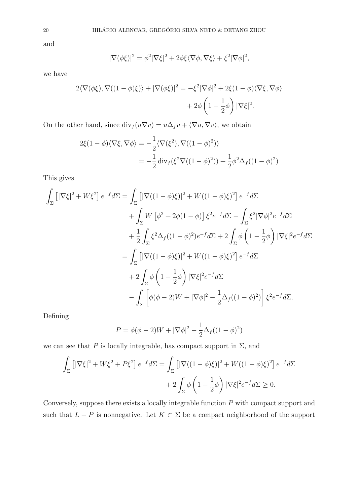and

$$
|\nabla(\phi\xi)|^2 = \phi^2 |\nabla\xi|^2 + 2\phi\xi\langle\nabla\phi,\nabla\xi\rangle + \xi^2 |\nabla\phi|^2,
$$

we have

$$
2\langle \nabla(\phi\xi), \nabla((1-\phi)\xi) \rangle + |\nabla(\phi\xi)|^2 = -\xi^2 |\nabla\phi|^2 + 2\xi(1-\phi)\langle \nabla\xi, \nabla\phi \rangle
$$

$$
+ 2\phi \left(1 - \frac{1}{2}\phi\right) |\nabla\xi|^2.
$$

On the other hand, since  $\text{div}_f(u\nabla v) = u\Delta_f v + \langle \nabla u, \nabla v \rangle$ , we obtain

$$
2\xi(1-\phi)\langle\nabla\xi,\nabla\phi\rangle = -\frac{1}{2}\langle\nabla(\xi^2),\nabla((1-\phi)^2)\rangle
$$
  
= 
$$
-\frac{1}{2}\operatorname{div}_f(\xi^2\nabla((1-\phi)^2)) + \frac{1}{2}\phi^2\Delta_f((1-\phi)^2)
$$

This gives

$$
\int_{\Sigma} \left[ |\nabla \xi|^2 + W \xi^2 \right] e^{-f} d\Sigma = \int_{\Sigma} \left[ |\nabla ((1 - \phi)\xi)|^2 + W((1 - \phi)\xi)^2 \right] e^{-f} d\Sigma \n+ \int_{\Sigma} W \left[ \phi^2 + 2\phi (1 - \phi) \right] \xi^2 e^{-f} d\Sigma - \int_{\Sigma} \xi^2 |\nabla \phi|^2 e^{-f} d\Sigma \n+ \frac{1}{2} \int_{\Sigma} \xi^2 \Delta_f ((1 - \phi)^2) e^{-f} d\Sigma + 2 \int_{\Sigma} \phi \left( 1 - \frac{1}{2} \phi \right) |\nabla \xi|^2 e^{-f} d\Sigma \n= \int_{\Sigma} \left[ |\nabla ((1 - \phi)\xi)|^2 + W((1 - \phi)\xi)^2 \right] e^{-f} d\Sigma \n+ 2 \int_{\Sigma} \phi \left( 1 - \frac{1}{2} \phi \right) |\nabla \xi|^2 e^{-f} d\Sigma \n- \int_{\Sigma} \left[ \phi(\phi - 2)W + |\nabla \phi|^2 - \frac{1}{2} \Delta_f ((1 - \phi)^2) \right] \xi^2 e^{-f} d\Sigma.
$$

Defining

$$
P = \phi(\phi - 2)W + |\nabla \phi|^2 - \frac{1}{2}\Delta_f((1 - \phi)^2)
$$

we can see that P is locally integrable, has compact support in  $\Sigma$ , and

$$
\int_{\Sigma} \left[ |\nabla \xi|^2 + W \xi^2 + P \xi^2 \right] e^{-f} d\Sigma = \int_{\Sigma} \left[ |\nabla ((1 - \phi)\xi)|^2 + W((1 - \phi)\xi)^2 \right] e^{-f} d\Sigma
$$

$$
+ 2 \int_{\Sigma} \phi \left( 1 - \frac{1}{2} \phi \right) |\nabla \xi|^2 e^{-f} d\Sigma \ge 0.
$$

Conversely, suppose there exists a locally integrable function P with compact support and such that  $L - P$  is nonnegative. Let  $K \subset \Sigma$  be a compact neighborhood of the support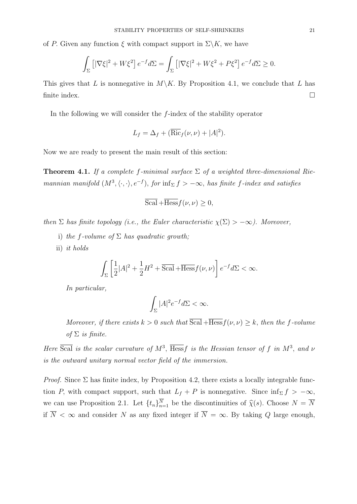of P. Given any function  $\xi$  with compact support in  $\Sigma\backslash K$ , we have

$$
\int_{\Sigma} \left[ |\nabla \xi|^2 + W \xi^2 \right] e^{-f} d\Sigma = \int_{\Sigma} \left[ |\nabla \xi|^2 + W \xi^2 + P \xi^2 \right] e^{-f} d\Sigma \ge 0.
$$

This gives that L is nonnegative in  $M\backslash K$ . By Proposition 4.1, we conclude that L has finite index.  $\Box$ 

In the following we will consider the  $f$ -index of the stability operator

$$
L_f = \Delta_f + (\overline{\text{Ric}}_f(\nu, \nu) + |A|^2).
$$

Now we are ready to present the main result of this section:

**Theorem 4.1.** If a complete f-minimal surface  $\Sigma$  of a weighted three-dimensional Riemannian manifold  $(M^3, \langle \cdot, \cdot \rangle, e^{-f}),$  for  $\inf_{\Sigma} f > -\infty$ , has finite f-index and satisfies

$$
\overline{\text{Scal}} + \overline{\text{Hess}} f(\nu, \nu) \ge 0,
$$

then  $\Sigma$  has finite topology (i.e., the Euler characteristic  $\chi(\Sigma) > -\infty$ ). Moreover,

- i) the f-volume of  $\Sigma$  has quadratic growth;
- ii) it holds

$$
\int_{\Sigma} \left[ \frac{1}{2} |A|^2 + \frac{1}{2} H^2 + \overline{\text{Scal}} + \overline{\text{Hess}} f(\nu, \nu) \right] e^{-f} d\Sigma < \infty.
$$

In particular,

$$
\int_{\Sigma}|A|^2e^{-f}d\Sigma < \infty.
$$

Moreover, if there exists  $k > 0$  such that  $\overline{Scal} + \overline{Hess} f(\nu, \nu) \geq k$ , then the f-volume of  $\Sigma$  is finite.

Here  $\overline{Scal}$  is the scalar curvature of  $M^3$ ,  $\overline{Hess}f$  is the Hessian tensor of f in  $M^3$ , and  $\nu$ is the outward unitary normal vector field of the immersion.

*Proof.* Since  $\Sigma$  has finite index, by Proposition 4.2, there exists a locally integrable function P, with compact support, such that  $L_f + P$  is nonnegative. Since  $\inf_{\Sigma} f > -\infty$ , we can use Proposition 2.1. Let  $\{t_n\}_{n=1}^N$  be the discontinuities of  $\hat{\chi}(s)$ . Choose  $N = \overline{N}$ if  $\overline{N} < \infty$  and consider N as any fixed integer if  $\overline{N} = \infty$ . By taking Q large enough,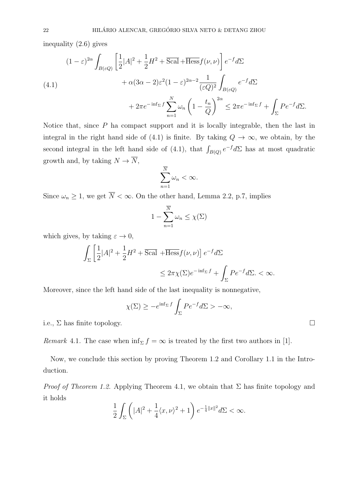inequality (2.6) gives

(4.1)  
\n
$$
(1 - \varepsilon)^{2\alpha} \int_{B(\varepsilon Q)} \left[ \frac{1}{2} |A|^2 + \frac{1}{2} H^2 + \overline{\text{Scal}} + \overline{\text{Hess}} f(\nu, \nu) \right] e^{-f} d\Sigma
$$
\n
$$
+ \alpha (3\alpha - 2) \varepsilon^2 (1 - \varepsilon)^{2\alpha - 2} \frac{1}{(\varepsilon Q)^2} \int_{B(\varepsilon Q)} e^{-f} d\Sigma
$$
\n
$$
+ 2\pi e^{-\inf_{\Sigma} f} \sum_{n=1}^N \omega_n \left( 1 - \frac{t_n}{Q} \right)^{2\alpha} \le 2\pi e^{-\inf_{\Sigma} f} + \int_{\Sigma} P e^{-f} d\Sigma.
$$

Notice that, since  $P$  ha compact support and it is locally integrable, then the last in integral in the right hand side of (4.1) is finite. By taking  $Q \to \infty$ , we obtain, by the second integral in the left hand side of (4.1), that  $\int_{B(Q)} e^{-f} d\Sigma$  has at most quadratic growth and, by taking  $N \to \overline{N}$ ,

$$
\sum_{n=1}^{\overline{N}}\omega_n < \infty.
$$

Since  $\omega_n \geq 1$ , we get  $\overline{N} < \infty$ . On the other hand, Lemma 2.2, p.7, implies

$$
1 - \sum_{n=1}^{\overline{N}} \omega_n \le \chi(\Sigma)
$$

which gives, by taking  $\varepsilon \to 0$ ,

$$
\int_{\Sigma} \left[ \frac{1}{2} |A|^2 + \frac{1}{2} H^2 + \overline{\text{Scal}} + \overline{\text{Hess}} f(\nu, \nu) \right] e^{-f} d\Sigma
$$
  

$$
\leq 2\pi \chi(\Sigma) e^{-\inf_{\Sigma} f} + \int_{\Sigma} P e^{-f} d\Sigma. < \infty.
$$

Moreover, since the left hand side of the last inequality is nonnegative,

$$
\chi(\Sigma) \ge -e^{\inf_{\Sigma} f} \int_{\Sigma} P e^{-f} d\Sigma > -\infty,
$$

i.e.,  $\Sigma$  has finite topology.

Remark 4.1. The case when  $\inf_{\Sigma} f = \infty$  is treated by the first two authors in [1].

Now, we conclude this section by proving Theorem 1.2 and Corollary 1.1 in the Introduction.

*Proof of Theorem 1.2.* Applying Theorem 4.1, we obtain that  $\Sigma$  has finite topology and it holds

$$
\frac{1}{2} \int_{\Sigma} \left( |A|^2 + \frac{1}{4} \langle x, \nu \rangle^2 + 1 \right) e^{-\frac{1}{4} ||x||^2} d\Sigma < \infty.
$$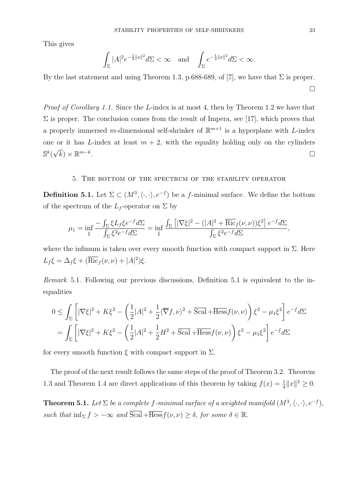This gives

$$
\int_{\Sigma}|A|^2e^{-\frac{1}{4}\|x\|^2}d\Sigma<\infty\quad\text{and}\quad\int_{\Sigma}e^{-\frac{1}{4}\|x\|^2}d\Sigma<\infty.
$$

By the last statement and using Theorem 1.3, p.688-689, of [7], we have that  $\Sigma$  is proper.  $\Box$ 

Proof of Corollary 1.1. Since the L-index is at most 4, then by Theorem 1.2 we have that  $\Sigma$  is proper. The conclusion comes from the result of Impera, see [17], which proves that a properly immersed m-dimensional self-shrinker of  $\mathbb{R}^{m+1}$  is a hyperplane with L-index one or it has L-index at least  $m + 2$ , with the equality holding only on the cylinders  $\mathbb{S}^k($  $\sqrt{k}$ ) ×  $\mathbb{R}^{m-k}$ . The contract of the contract of the contract of  $\Box$ 

#### 5. The bottom of the spectrum of the stability operator

**Definition 5.1.** Let  $\Sigma \subset (M^3, \langle \cdot, \cdot \rangle, e^{-f})$  be a f-minimal surface. We define the bottom of the spectrum of the  $L_f$ -operator on  $\Sigma$  by

$$
\mu_1 = \inf_{\xi} \frac{-\int_{\Sigma} \xi L_f \xi e^{-f} d\Sigma}{\int_{\Sigma} \xi^2 e^{-f} d\Sigma} = \inf_{\xi} \frac{\int_{\Sigma} \left[ |\nabla \xi|^2 - (|A|^2 + \overline{\text{Ric}}_f(\nu, \nu)) \xi^2 \right] e^{-f} d\Sigma}{\int_{\Sigma} \xi^2 e^{-f} d\Sigma},
$$

where the infimum is taken over every smooth function with compact support in  $\Sigma$ . Here  $L_f \xi = \Delta_f \xi + (\overline{\text{Ric}}_f(\nu, \nu) + |A|^2) \xi.$ 

Remark 5.1. Following our previous discussions, Definition 5.1 is equivalent to the inequalities

$$
0 \leq \int_{\Sigma} \left[ |\nabla \xi|^2 + K \xi^2 - \left( \frac{1}{2} |A|^2 + \frac{1}{2} \langle \overline{\nabla} f, \nu \rangle^2 + \overline{\text{Scal}} + \overline{\text{Hess}} f(\nu, \nu) \right) \xi^2 - \mu_1 \xi^2 \right] e^{-f} d\Sigma
$$
  
= 
$$
\int_{\Sigma} \left[ |\nabla \xi|^2 + K \xi^2 - \left( \frac{1}{2} |A|^2 + \frac{1}{2} H^2 + \overline{\text{Scal}} + \overline{\text{Hess}} f(\nu, \nu) \right) \xi^2 - \mu_1 \xi^2 \right] e^{-f} d\Sigma
$$

for every smooth function  $\xi$  with compact support in  $\Sigma$ .

The proof of the next result follows the same steps of the proof of Theorem 3.2. Theorem 1.3 and Theorem 1.4 are direct applications of this theorem by taking  $f(x) = \frac{1}{4} ||x||^2 \ge 0$ .

**Theorem 5.1.** Let  $\Sigma$  be a complete f-minimal surface of a weighted manifold  $(M^3, \langle \cdot, \cdot \rangle, e^{-f}),$ such that  $\inf_{\Sigma} f > -\infty$  and  $\text{Scal} + \overline{\text{Hess}} f(\nu, \nu) \geq \delta$ , for some  $\delta \in \mathbb{R}$ .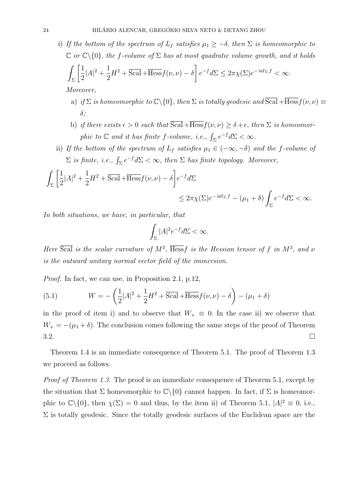i) If the bottom of the spectrum of  $L_f$  satisfies  $\mu_1 \geq -\delta$ , then  $\Sigma$  is homeomorphic to  $\mathbb C$  or  $\mathbb C\backslash\{0\}$ , the f-volume of  $\Sigma$  has at most quadratic volume growth, and it holds

$$
\int_{\Sigma} \left[ \frac{1}{2} |A|^2 + \frac{1}{2} H^2 + \overline{\text{Scal}} + \overline{\text{Hess}} f(\nu, \nu) - \delta \right] e^{-f} d\Sigma \le 2\pi \chi(\Sigma) e^{-\inf_{\Sigma} f} < \infty.
$$

Moreover,

- a) if  $\Sigma$  is homeomorphic to  $\mathbb{C}\backslash\{0\}$ , then  $\Sigma$  is totally geodesic and  $\overline{\text{Scal}} + \overline{\text{Hess}} f(\nu, \nu) \equiv$ δ;
- b) if there exists  $\epsilon > 0$  such that  $\overline{Scal} + \overline{Hess} f(\nu, \nu) \ge \delta + \epsilon$ , then  $\Sigma$  is homeomorphic to  $\mathbb C$  and it has finite f-volume, i.e.,  $\int_{\Sigma} e^{-f} d\Sigma < \infty$ .
- ii) If the bottom of the spectrum of  $L_f$  satisfies  $\mu_1 \in (-\infty, -\delta)$  and the f-volume of  $\Sigma$  is finite, i.e.,  $\int_{\Sigma} e^{-f} d\Sigma < \infty$ , then  $\Sigma$  has finite topology. Moreover,

$$
\int_{\Sigma} \left[ \frac{1}{2} |A|^2 + \frac{1}{2} H^2 + \overline{Scal} + \overline{Hess} f(\nu, \nu) - \delta \right] e^{-f} d\Sigma
$$
  

$$
\leq 2\pi \chi(\Sigma) e^{-\inf_{\Sigma} f} - (\mu_1 + \delta) \int_{\Sigma} e^{-f} d\Sigma < \infty.
$$

In both situations, we have, in particular, that

$$
\int_{\Sigma} |A|^2 e^{-f} d\Sigma < \infty.
$$

Here  $\overline{Scal}$  is the scalar curvature of  $M^3$ ,  $\overline{Hess}f$  is the Hessian tensor of f in  $M^3$ , and  $\nu$ is the outward unitary normal vector field of the immersion.

Proof. In fact, we can use, in Proposition 2.1, p.12,

(5.1) 
$$
W = -\left(\frac{1}{2}|A|^2 + \frac{1}{2}H^2 + \overline{\text{Scal}} + \overline{\text{Hess}}f(\nu, \nu) - \delta\right) - (\mu_1 + \delta)
$$

in the proof of item i) and to observe that  $W_+ \equiv 0$ . In the case ii) we observe that  $W_+ = -(\mu_1 + \delta)$ . The conclusion comes following the same steps of the proof of Theorem  $3.2.$ 

Theorem 1.4 is an immediate consequence of Theorem 5.1. The proof of Theorem 1.3 we proceed as follows.

Proof of Theorem 1.3. The proof is an immediate consequence of Theorem 5.1, except by the situation that  $\Sigma$  homeomorphic to  $\mathbb{C}\backslash\{0\}$  cannot happen. In fact, if  $\Sigma$  is homeomorphic to  $\mathbb{C}\setminus\{0\}$ , then  $\chi(\Sigma) = 0$  and thus, by the item ii) of Theorem 5.1,  $|A|^2 \equiv 0$ , i.e.,  $\Sigma$  is totally geodesic. Since the totally geodesic surfaces of the Euclidean space are the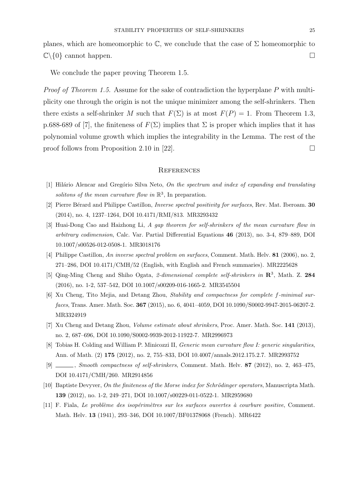planes, which are homeomorphic to  $\mathbb{C}$ , we conclude that the case of  $\Sigma$  homeomorphic to  $\mathbb{C}\backslash\{0\}$  cannot happen.

We conclude the paper proving Theorem 1.5.

Proof of Theorem 1.5. Assume for the sake of contradiction the hyperplane P with multiplicity one through the origin is not the unique minimizer among the self-shrinkers. Then there exists a self-shrinker M such that  $F(\Sigma)$  is at most  $F(P) = 1$ . From Theorem 1.3, p.688-689 of [7], the finiteness of  $F(\Sigma)$  implies that  $\Sigma$  is proper which implies that it has polynomial volume growth which implies the integrability in the Lemma. The rest of the proof follows from Proposition 2.10 in [22].

#### **REFERENCES**

- [1] Hilário Alencar and Gregório Silva Neto, On the spectrum and index of expanding and translating solitons of the mean curvature flow in  $\mathbb{R}^3$ , In preparation.
- [2] Pierre Bérard and Philippe Castillon, *Inverse spectral positivity for surfaces*, Rev. Mat. Iberoam. 30 (2014), no. 4, 1237–1264, DOI 10.4171/RMI/813. MR3293432
- [3] Huai-Dong Cao and Haizhong Li, A gap theorem for self-shrinkers of the mean curvature flow in arbitrary codimension, Calc. Var. Partial Differential Equations 46 (2013), no. 3-4, 879–889, DOI 10.1007/s00526-012-0508-1. MR3018176
- [4] Philippe Castillon, An inverse spectral problem on surfaces, Comment. Math. Helv. 81 (2006), no. 2, 271–286, DOI 10.4171/CMH/52 (English, with English and French summaries). MR2225628
- [5] Qing-Ming Cheng and Shiho Ogata, 2-dimensional complete self-shrinkers in  $\mathbb{R}^3$ , Math. Z. 284 (2016), no. 1-2, 537–542, DOI 10.1007/s00209-016-1665-2. MR3545504
- [6] Xu Cheng, Tito Mejia, and Detang Zhou, Stability and compactness for complete f-minimal surfaces, Trans. Amer. Math. Soc. 367 (2015), no. 6, 4041–4059, DOI 10.1090/S0002-9947-2015-06207-2. MR3324919
- [7] Xu Cheng and Detang Zhou, Volume estimate about shrinkers, Proc. Amer. Math. Soc. 141 (2013), no. 2, 687–696, DOI 10.1090/S0002-9939-2012-11922-7. MR2996973
- [8] Tobias H. Colding and William P. Minicozzi II, Generic mean curvature flow I: generic singularities, Ann. of Math. (2) 175 (2012), no. 2, 755–833, DOI 10.4007/annals.2012.175.2.7. MR2993752
- [9] , Smooth compactness of self-shrinkers, Comment. Math. Helv. 87 (2012), no. 2, 463–475, DOI 10.4171/CMH/260. MR2914856
- [10] Baptiste Devyver, On the finiteness of the Morse index for Schrödinger operators, Manuscripta Math. 139 (2012), no. 1-2, 249–271, DOI 10.1007/s00229-011-0522-1. MR2959680
- [11] F. Fiala, Le problème des isopérimètres sur les surfaces ouvertes à courbure positive, Comment. Math. Helv. 13 (1941), 293–346, DOI 10.1007/BF01378068 (French). MR6422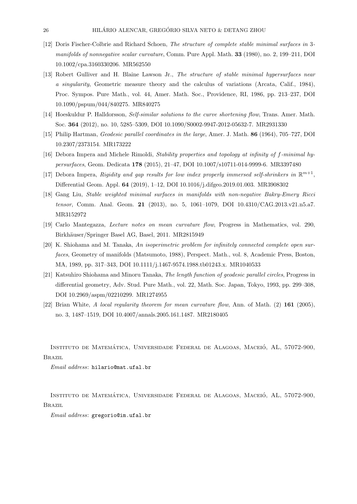- [12] Doris Fischer-Colbrie and Richard Schoen, The structure of complete stable minimal surfaces in 3 manifolds of nonnegative scalar curvature, Comm. Pure Appl. Math. **33** (1980), no. 2, 199–211, DOI 10.1002/cpa.3160330206. MR562550
- [13] Robert Gulliver and H. Blaine Lawson Jr., The structure of stable minimal hypersurfaces near a singularity, Geometric measure theory and the calculus of variations (Arcata, Calif., 1984), Proc. Sympos. Pure Math., vol. 44, Amer. Math. Soc., Providence, RI, 1986, pp. 213–237, DOI 10.1090/pspum/044/840275. MR840275
- [14] Hoeskuldur P. Halldorsson, Self-similar solutions to the curve shortening flow, Trans. Amer. Math. Soc. 364 (2012), no. 10, 5285–5309, DOI 10.1090/S0002-9947-2012-05632-7. MR2931330
- [15] Philip Hartman, Geodesic parallel coordinates in the large, Amer. J. Math. 86 (1964), 705–727, DOI 10.2307/2373154. MR173222
- [16] Debora Impera and Michele Rimoldi, Stability properties and topology at infinity of f-minimal hypersurfaces, Geom. Dedicata 178 (2015), 21–47, DOI 10.1007/s10711-014-9999-6. MR3397480
- [17] Debora Impera, Rigidity and gap results for low index properly immersed self-shrinkers in  $\mathbb{R}^{m+1}$ , Differential Geom. Appl. 64 (2019), 1–12, DOI 10.1016/j.difgeo.2019.01.003. MR3908302
- [18] Gang Liu, Stable weighted minimal surfaces in manifolds with non-negative Bakry-Emery Ricci tensor, Comm. Anal. Geom. 21 (2013), no. 5, 1061–1079, DOI 10.4310/CAG.2013.v21.n5.a7. MR3152972
- [19] Carlo Mantegazza, Lecture notes on mean curvature flow, Progress in Mathematics, vol. 290, Birkhäuser/Springer Basel AG, Basel, 2011. MR2815949
- [20] K. Shiohama and M. Tanaka, An isoperimetric problem for infinitely connected complete open surfaces, Geometry of manifolds (Matsumoto, 1988), Perspect. Math., vol. 8, Academic Press, Boston, MA, 1989, pp. 317–343, DOI 10.1111/j.1467-9574.1988.tb01243.x. MR1040533
- [21] Katsuhiro Shiohama and Minoru Tanaka, The length function of geodesic parallel circles, Progress in differential geometry, Adv. Stud. Pure Math., vol. 22, Math. Soc. Japan, Tokyo, 1993, pp. 299–308, DOI 10.2969/aspm/02210299. MR1274955
- [22] Brian White, A local regularity theorem for mean curvature flow, Ann. of Math. (2) 161 (2005), no. 3, 1487–1519, DOI 10.4007/annals.2005.161.1487. MR2180405

INSTITUTO DE MATEMÁTICA, UNIVERSIDADE FEDERAL DE ALAGOAS, MACEIÓ, AL, 57072-900, Brazil

Email address: hilario@mat.ufal.br

INSTITUTO DE MATEMÁTICA, UNIVERSIDADE FEDERAL DE ALAGOAS, MACEIÓ, AL, 57072-900, Brazil

Email address: gregorio@im.ufal.br